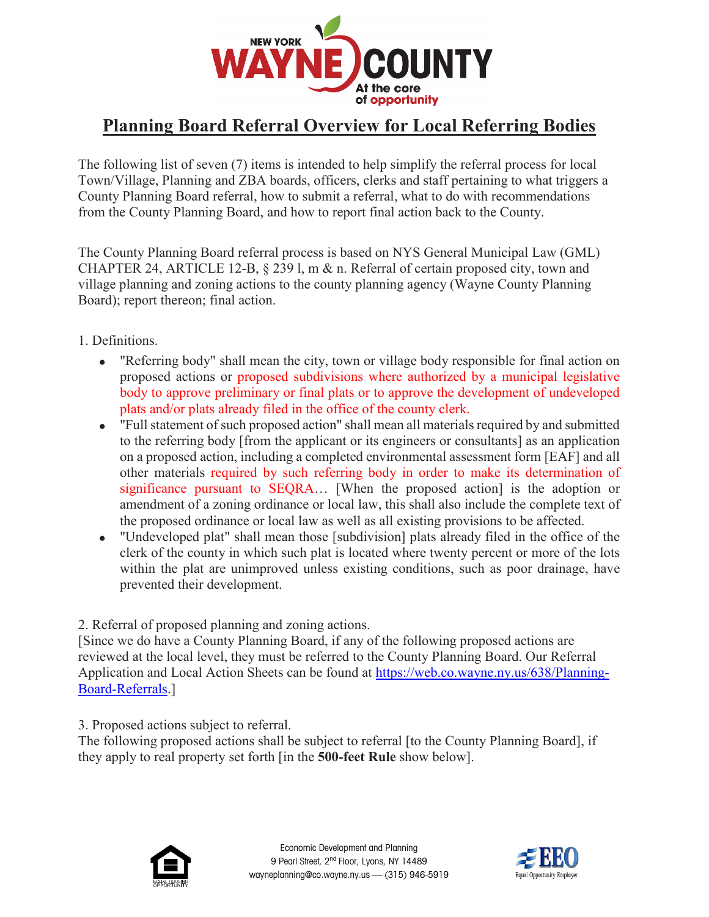

# **Planning Board Referral Overview for Local Referring Bodies**

The following list of seven (7) items is intended to help simplify the referral process for local Town/Village, Planning and ZBA boards, officers, clerks and staff pertaining to what triggers a County Planning Board referral, how to submit a referral, what to do with recommendations from the County Planning Board, and how to report final action back to the County.

The County Planning Board referral process is based on NYS General Municipal Law (GML) CHAPTER 24, ARTICLE 12-B, § 239 l, m & n. Referral of certain proposed city, town and village planning and zoning actions to the county planning agency (Wayne County Planning Board); report thereon; final action.

- 1. Definitions.
	- "Referring body" shall mean the city, town or village body responsible for final action on proposed actions or proposed subdivisions where authorized by a municipal legislative body to approve preliminary or final plats or to approve the development of undeveloped plats and/or plats already filed in the office of the county clerk.
	- "Full statement of such proposed action" shall mean all materials required by and submitted to the referring body [from the applicant or its engineers or consultants] as an application on a proposed action, including a completed environmental assessment form [EAF] and all other materials required by such referring body in order to make its determination of significance pursuant to SEQRA… [When the proposed action] is the adoption or amendment of a zoning ordinance or local law, this shall also include the complete text of the proposed ordinance or local law as well as all existing provisions to be affected.
	- "Undeveloped plat" shall mean those [subdivision] plats already filed in the office of the clerk of the county in which such plat is located where twenty percent or more of the lots within the plat are unimproved unless existing conditions, such as poor drainage, have prevented their development.

### 2. Referral of proposed planning and zoning actions.

[Since we do have a County Planning Board, if any of the following proposed actions are reviewed at the local level, they must be referred to the County Planning Board. Our Referral Application and Local Action Sheets can be found at [https://web.co.wayne.ny.us/638/Planning-](https://web.co.wayne.ny.us/638/Planning-Board-Referrals)[Board-Referrals.](https://web.co.wayne.ny.us/638/Planning-Board-Referrals)]

3. Proposed actions subject to referral.

The following proposed actions shall be subject to referral [to the County Planning Board], if they apply to real property set forth [in the **500-feet Rule** show below].



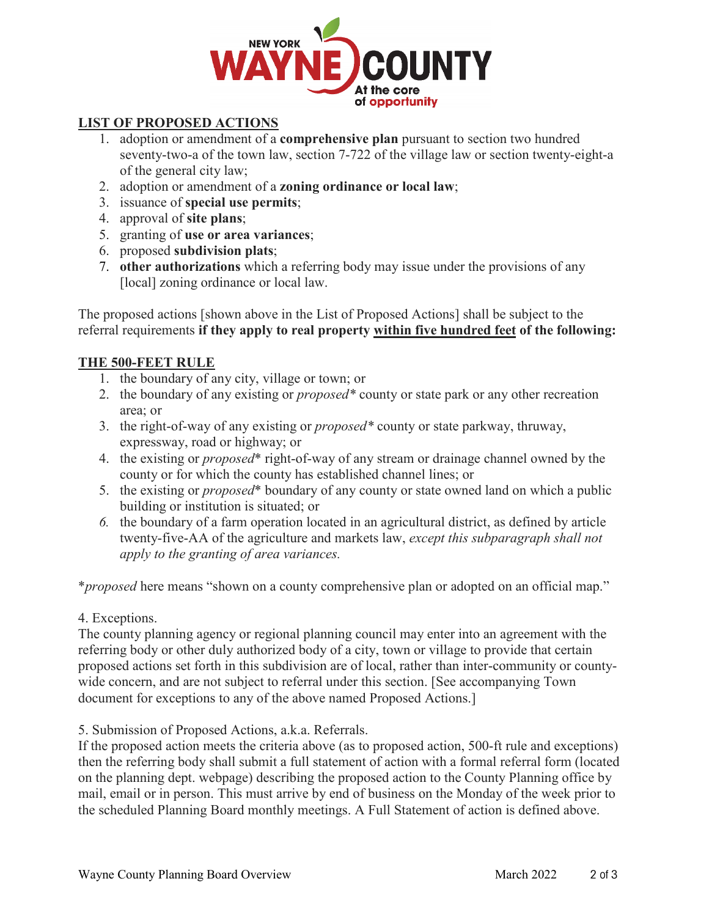

## **LIST OF PROPOSED ACTIONS**

- 1. adoption or amendment of a **comprehensive plan** pursuant to section two hundred seventy-two-a of the town law, section 7-722 of the village law or section twenty-eight-a of the general city law;
- 2. adoption or amendment of a **zoning ordinance or local law**;
- 3. issuance of **special use permits**;
- 4. approval of **site plans**;
- 5. granting of **use or area variances**;
- 6. proposed **subdivision plats**;
- 7. **other authorizations** which a referring body may issue under the provisions of any [local] zoning ordinance or local law.

The proposed actions [shown above in the List of Proposed Actions] shall be subject to the referral requirements **if they apply to real property within five hundred feet of the following:**

### **THE 500-FEET RULE**

- 1. the boundary of any city, village or town; or
- 2. the boundary of any existing or *proposed\** county or state park or any other recreation area; or
- 3. the right-of-way of any existing or *proposed\** county or state parkway, thruway, expressway, road or highway; or
- 4. the existing or *proposed*\* right-of-way of any stream or drainage channel owned by the county or for which the county has established channel lines; or
- 5. the existing or *proposed*\* boundary of any county or state owned land on which a public building or institution is situated; or
- *6.* the boundary of a farm operation located in an agricultural district, as defined by article twenty-five-AA of the agriculture and markets law, *except this subparagraph shall not apply to the granting of area variances.*

\**proposed* here means "shown on a county comprehensive plan or adopted on an official map."

### 4. Exceptions.

The county planning agency or regional planning council may enter into an agreement with the referring body or other duly authorized body of a city, town or village to provide that certain proposed actions set forth in this subdivision are of local, rather than inter-community or countywide concern, and are not subject to referral under this section. [See accompanying Town document for exceptions to any of the above named Proposed Actions.]

5. Submission of Proposed Actions, a.k.a. Referrals.

If the proposed action meets the criteria above (as to proposed action, 500-ft rule and exceptions) then the referring body shall submit a full statement of action with a formal referral form (located on the planning dept. webpage) describing the proposed action to the County Planning office by mail, email or in person. This must arrive by end of business on the Monday of the week prior to the scheduled Planning Board monthly meetings. A Full Statement of action is defined above.